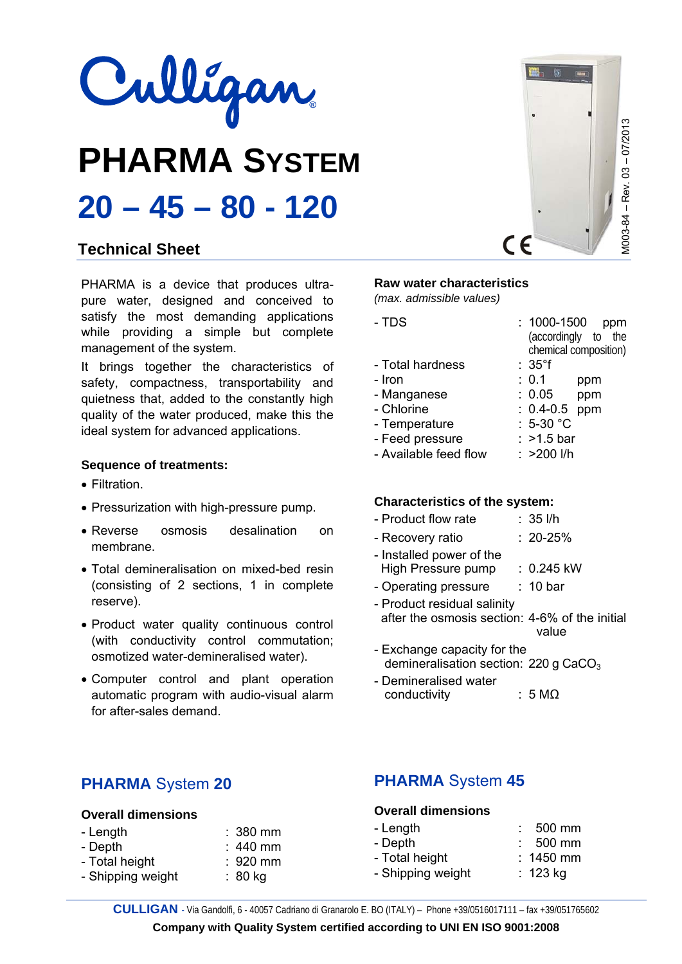

# **PHARMA SYSTEM 20 – 45 – 80 - 120**

## **Technical Sheet**

PHARMA is a device that produces ultrapure water, designed and conceived to satisfy the most demanding applications while providing a simple but complete management of the system.

It brings together the characteristics of safety, compactness, transportability and quietness that, added to the constantly high quality of the water produced, make this the ideal system for advanced applications.

## **Sequence of treatments:**

- Filtration.
- Pressurization with high-pressure pump.
- Reverse osmosis desalination on membrane.
- Total demineralisation on mixed-bed resin (consisting of 2 sections, 1 in complete reserve).
- Product water quality continuous control (with conductivity control commutation; osmotized water-demineralised water).
- Computer control and plant operation automatic program with audio-visual alarm for after-sales demand.

# **Raw water characteristics**

*(max. admissible values)* 

| - TDS                 | :1000-1500<br>ppm<br>(accordingly to the<br>chemical composition) |
|-----------------------|-------------------------------------------------------------------|
| - Total hardness      | $:35^{\circ}$ f                                                   |
| - Iron                | : 0.1<br>ppm                                                      |
| - Manganese           | :~0.05<br>ppm                                                     |
| - Chlorine            | $: 0.4 - 0.5$<br>ppm                                              |
| - Temperature         | $: 5-30 °C$                                                       |
| - Feed pressure       | $:$ >1.5 bar                                                      |
| - Available feed flow | $: >200$ I/h                                                      |

## **Characteristics of the system:**

| - Product flow rate | $: 35$ I/h |
|---------------------|------------|
|---------------------|------------|

- Recovery ratio : 20-25%
- Installed power of the
- High Pressure pump : 0.245 kW
- Operating pressure : 10 bar
- Product residual salinity after the osmosis section: 4-6% of the initial value
- Exchange capacity for the demineralisation section: 220 g CaCO<sub>3</sub>
- Demineralised water  $conductivity$  : 5 M $\Omega$

## **PHARMA** System **20**

#### **Overall dimensions**

| - Length          | $: 380$ mm |
|-------------------|------------|
| - Depth           | $: 440$ mm |
| - Total height    | $: 920$ mm |
| - Shipping weight | :80 kg     |

## **PHARMA** System **45**

## **Overall dimensions**

| - Length          | 500 mm      |
|-------------------|-------------|
| - Depth           | 500 mm      |
| - Total height    | $: 1450$ mm |
| - Shipping weight | : 123 kg    |

**Company with Quality System certified according to UNI EN ISO 9001:2008**